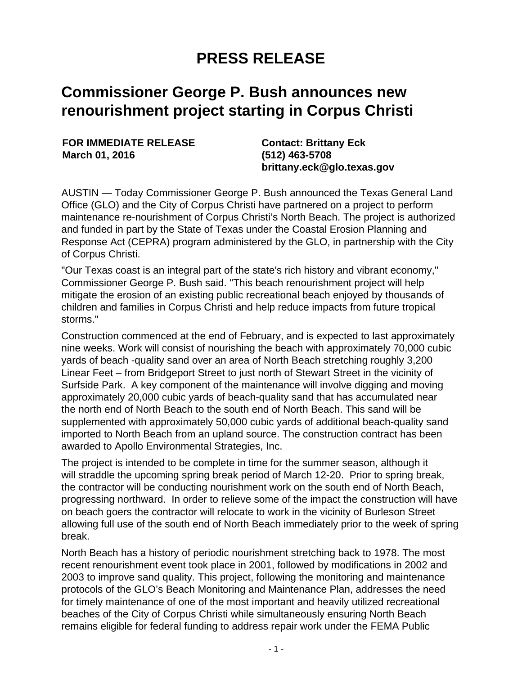## **PRESS RELEASE**

## **Commissioner George P. Bush announces new renourishment project starting in Corpus Christi**

**FOR IMMEDIATE RELEASE March 01, 2016**

**Contact: Brittany Eck (512) 463-5708 brittany.eck@glo.texas.gov**

AUSTIN — Today Commissioner George P. Bush announced the Texas General Land Office (GLO) and the City of Corpus Christi have partnered on a project to perform maintenance re-nourishment of Corpus Christi's North Beach. The project is authorized and funded in part by the State of Texas under the Coastal Erosion Planning and Response Act (CEPRA) program administered by the GLO, in partnership with the City of Corpus Christi.

"Our Texas coast is an integral part of the state's rich history and vibrant economy," Commissioner George P. Bush said. "This beach renourishment project will help mitigate the erosion of an existing public recreational beach enjoyed by thousands of children and families in Corpus Christi and help reduce impacts from future tropical storms."

Construction commenced at the end of February, and is expected to last approximately nine weeks. Work will consist of nourishing the beach with approximately 70,000 cubic yards of beach -quality sand over an area of North Beach stretching roughly 3,200 Linear Feet – from Bridgeport Street to just north of Stewart Street in the vicinity of Surfside Park. A key component of the maintenance will involve digging and moving approximately 20,000 cubic yards of beach-quality sand that has accumulated near the north end of North Beach to the south end of North Beach. This sand will be supplemented with approximately 50,000 cubic yards of additional beach-quality sand imported to North Beach from an upland source. The construction contract has been awarded to Apollo Environmental Strategies, Inc.

The project is intended to be complete in time for the summer season, although it will straddle the upcoming spring break period of March 12-20. Prior to spring break, the contractor will be conducting nourishment work on the south end of North Beach, progressing northward. In order to relieve some of the impact the construction will have on beach goers the contractor will relocate to work in the vicinity of Burleson Street allowing full use of the south end of North Beach immediately prior to the week of spring break.

North Beach has a history of periodic nourishment stretching back to 1978. The most recent renourishment event took place in 2001, followed by modifications in 2002 and 2003 to improve sand quality. This project, following the monitoring and maintenance protocols of the GLO's Beach Monitoring and Maintenance Plan, addresses the need for timely maintenance of one of the most important and heavily utilized recreational beaches of the City of Corpus Christi while simultaneously ensuring North Beach remains eligible for federal funding to address repair work under the FEMA Public